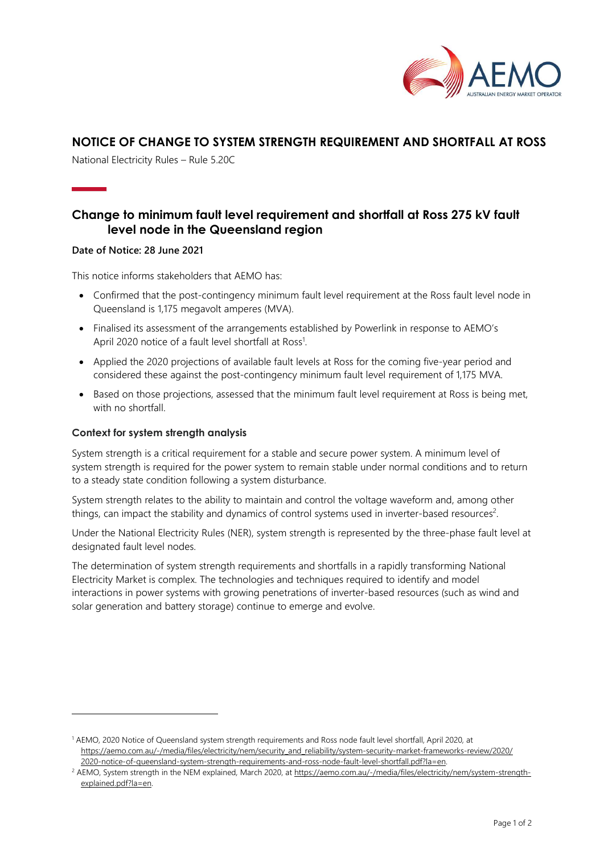

## NOTICE OF CHANGE TO SYSTEM STRENGTH REQUIREMENT AND SHORTFALL AT ROSS

National Electricity Rules – Rule 5.20C

# Change to minimum fault level requirement and shortfall at Ross 275 kV fault level node in the Queensland region

### Date of Notice: 28 June 2021

This notice informs stakeholders that AEMO has:

- Confirmed that the post-contingency minimum fault level requirement at the Ross fault level node in Queensland is 1,175 megavolt amperes (MVA).
- Finalised its assessment of the arrangements established by Powerlink in response to AEMO's April 2020 notice of a fault level shortfall at Ross<sup>1</sup>.
- Applied the 2020 projections of available fault levels at Ross for the coming five-year period and considered these against the post-contingency minimum fault level requirement of 1,175 MVA.
- Based on those projections, assessed that the minimum fault level requirement at Ross is being met, with no shortfall

### Context for system strength analysis

System strength is a critical requirement for a stable and secure power system. A minimum level of system strength is required for the power system to remain stable under normal conditions and to return to a steady state condition following a system disturbance.

System strength relates to the ability to maintain and control the voltage waveform and, among other things, can impact the stability and dynamics of control systems used in inverter-based resources<sup>2</sup>.

Under the National Electricity Rules (NER), system strength is represented by the three-phase fault level at designated fault level nodes.

The determination of system strength requirements and shortfalls in a rapidly transforming National Electricity Market is complex. The technologies and techniques required to identify and model interactions in power systems with growing penetrations of inverter-based resources (such as wind and solar generation and battery storage) continue to emerge and evolve.

<sup>1</sup> AEMO, 2020 Notice of Queensland system strength requirements and Ross node fault level shortfall, April 2020, at https://aemo.com.au/-/media/files/electricity/nem/security\_and\_reliability/system-security-market-frameworks-review/2020/ 2020-notice-of-queensland-system-strength-requirements-and-ross-node-fault-level-shortfall.pdf?la=en.

<sup>&</sup>lt;sup>2</sup> AEMO, System strength in the NEM explained, March 2020, at https://aemo.com.au/-/media/files/electricity/nem/system-strengthexplained.pdf?la=en.